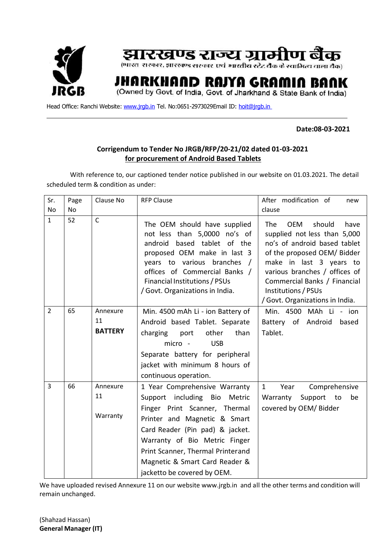



(भारत-सरकार, झारखण्ड सरकार-एर्व-भारतीय स्टेट बैंक के स्वामित्व वाला बैंक)

## IARKHAND RAJYA GRAMIN BANK

(Owned by Govt. of India, Govt. of Jharkhand & State Bank of India)

Head Office: Ranchi Website: [www.jrgb.in](http://www.jrgb.in/) Tel. No:0651-2973029Email ID: [hoit@jrgb.in](mailto:hoit@jrgb.in)

**Date:08-03-2021**

## **Corrigendum to Tender No JRGB/RFP/20-21/02 dated 01-03-2021 for procurement of Android Based Tablets**

With reference to, our captioned tender notice published in our website on 01.03.2021. The detail scheduled term & condition as under:

| Sr.            | Page | Clause No                        | <b>RFP Clause</b>                                                                                                                                                                                                                                                                                           | After modification of<br>new                                                                                                                                                                                                                                                            |
|----------------|------|----------------------------------|-------------------------------------------------------------------------------------------------------------------------------------------------------------------------------------------------------------------------------------------------------------------------------------------------------------|-----------------------------------------------------------------------------------------------------------------------------------------------------------------------------------------------------------------------------------------------------------------------------------------|
| <b>No</b>      | No   |                                  |                                                                                                                                                                                                                                                                                                             | clause                                                                                                                                                                                                                                                                                  |
| $\mathbf{1}$   | 52   | $\mathsf{C}$                     | The OEM should have supplied<br>not less than 5,0000 no's of<br>android<br>based tablet of the<br>proposed OEM make in last 3<br>years to various branches<br>$\sqrt{ }$<br>offices of Commercial Banks /<br>Financial Institutions / PSUs<br>/ Govt. Organizations in India.                               | should<br>The<br><b>OEM</b><br>have<br>supplied not less than 5,000<br>no's of android based tablet<br>of the proposed OEM/Bidder<br>make in last 3 years to<br>various branches / offices of<br>Commercial Banks / Financial<br>Institutions / PSUs<br>/ Govt. Organizations in India. |
| $\overline{2}$ | 65   | Annexure<br>11<br><b>BATTERY</b> | Min. 4500 mAh Li - ion Battery of<br>Android based Tablet. Separate<br>other<br>charging<br>port<br>than<br><b>USB</b><br>micro -<br>Separate battery for peripheral<br>jacket with minimum 8 hours of<br>continuous operation.                                                                             | Min. 4500 MAh Li - ion<br>Battery of Android<br>based<br>Tablet.                                                                                                                                                                                                                        |
| 3              | 66   | Annexure<br>11<br>Warranty       | 1 Year Comprehensive Warranty<br>Support including Bio<br>Metric<br>Finger Print Scanner, Thermal<br>Printer and Magnetic & Smart<br>Card Reader (Pin pad) & jacket.<br>Warranty of Bio Metric Finger<br>Print Scanner, Thermal Printerand<br>Magnetic & Smart Card Reader &<br>jacketto be covered by OEM. | Comprehensive<br>$\mathbf{1}$<br>Year<br>Support to<br>Warranty<br>be<br>covered by OEM/ Bidder                                                                                                                                                                                         |

We have uploaded revised Annexure 11 on our website www.jrgb.in and all the other terms and condition will remain unchanged.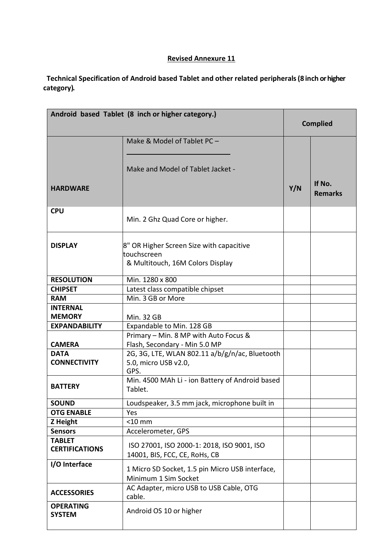## **Revised Annexure 11**

 **Technical Specification of Android based Tablet and other related peripherals(8 inch or higher category).**

| Android based Tablet (8 inch or higher category.) | <b>Complied</b>                                                                             |     |                          |
|---------------------------------------------------|---------------------------------------------------------------------------------------------|-----|--------------------------|
|                                                   | Make & Model of Tablet PC -                                                                 |     |                          |
|                                                   | Make and Model of Tablet Jacket -                                                           |     |                          |
| <b>HARDWARE</b>                                   |                                                                                             | Y/N | If No.<br><b>Remarks</b> |
| <b>CPU</b>                                        | Min. 2 Ghz Quad Core or higher.                                                             |     |                          |
| <b>DISPLAY</b>                                    | 8" OR Higher Screen Size with capacitive<br>touchscreen<br>& Multitouch, 16M Colors Display |     |                          |
| <b>RESOLUTION</b>                                 | Min. 1280 x 800                                                                             |     |                          |
| <b>CHIPSET</b>                                    | Latest class compatible chipset                                                             |     |                          |
| <b>RAM</b>                                        | Min. 3 GB or More                                                                           |     |                          |
| <b>INTERNAL</b>                                   |                                                                                             |     |                          |
| <b>MEMORY</b>                                     | <b>Min. 32 GB</b>                                                                           |     |                          |
| <b>EXPANDABILITY</b>                              | Expandable to Min. 128 GB                                                                   |     |                          |
|                                                   | Primary - Min. 8 MP with Auto Focus &                                                       |     |                          |
| <b>CAMERA</b>                                     | Flash, Secondary - Min 5.0 MP                                                               |     |                          |
| <b>DATA</b><br><b>CONNECTIVITY</b>                | 2G, 3G, LTE, WLAN 802.11 a/b/g/n/ac, Bluetooth<br>5.0, micro USB v2.0,<br>GPS.              |     |                          |
| <b>BATTERY</b>                                    | Min. 4500 MAh Li - ion Battery of Android based<br>Tablet.                                  |     |                          |
| <b>SOUND</b>                                      | Loudspeaker, 3.5 mm jack, microphone built in                                               |     |                          |
| <b>OTG ENABLE</b>                                 | Yes                                                                                         |     |                          |
| Z Height                                          | $<$ 10 mm                                                                                   |     |                          |
| <b>Sensors</b>                                    | Accelerometer, GPS                                                                          |     |                          |
| <b>TABLET</b><br><b>CERTIFICATIONS</b>            | ISO 27001, ISO 2000-1: 2018, ISO 9001, ISO<br>14001, BIS, FCC, CE, RoHs, CB                 |     |                          |
| I/O Interface                                     | 1 Micro SD Socket, 1.5 pin Micro USB interface,<br>Minimum 1 Sim Socket                     |     |                          |
| <b>ACCESSORIES</b>                                | AC Adapter, micro USB to USB Cable, OTG<br>cable.                                           |     |                          |
| <b>OPERATING</b><br><b>SYSTEM</b>                 | Android OS 10 or higher                                                                     |     |                          |